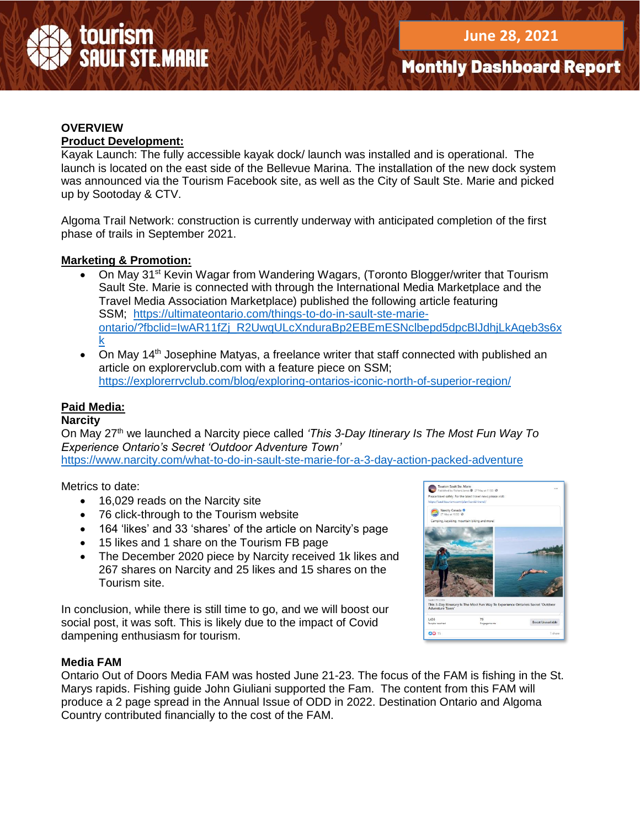

### **OVERVIEW**

### **Product Development:**

Kayak Launch: The fully accessible kayak dock/ launch was installed and is operational. The launch is located on the east side of the Bellevue Marina. The installation of the new dock system was announced via the Tourism Facebook site, as well as the City of Sault Ste. Marie and picked up by Sootoday & CTV.

Algoma Trail Network: construction is currently underway with anticipated completion of the first phase of trails in September 2021.

#### **Marketing & Promotion:**

- On May 31<sup>st</sup> Kevin Wagar from Wandering Wagars, (Toronto Blogger/writer that Tourism Sault Ste. Marie is connected with through the International Media Marketplace and the Travel Media Association Marketplace) published the following article featuring SSM; [https://ultimateontario.com/things-to-do-in-sault-ste-marie](https://ultimateontario.com/things-to-do-in-sault-ste-marie-ontario/?fbclid=IwAR11fZj_R2UwqULcXnduraBp2EBEmESNclbepd5dpcBlJdhjLkAqeb3s6xk)[ontario/?fbclid=IwAR11fZj\\_R2UwqULcXnduraBp2EBEmESNclbepd5dpcBlJdhjLkAqeb3s6x](https://ultimateontario.com/things-to-do-in-sault-ste-marie-ontario/?fbclid=IwAR11fZj_R2UwqULcXnduraBp2EBEmESNclbepd5dpcBlJdhjLkAqeb3s6xk) [k](https://ultimateontario.com/things-to-do-in-sault-ste-marie-ontario/?fbclid=IwAR11fZj_R2UwqULcXnduraBp2EBEmESNclbepd5dpcBlJdhjLkAqeb3s6xk)
- $\bullet$  On May 14<sup>th</sup> Josephine Matyas, a freelance writer that staff connected with published an article on explorervclub.com with a feature piece on SSM; <https://explorerrvclub.com/blog/exploring-ontarios-iconic-north-of-superior-region/>

### **Paid Media:**

#### **Narcity**

On May 27th we launched a Narcity piece called *'This 3-Day Itinerary Is The Most Fun Way To Experience Ontario's Secret 'Outdoor Adventure Town'*

<https://www.narcity.com/what-to-do-in-sault-ste-marie-for-a-3-day-action-packed-adventure>

Metrics to date:

- 16,029 reads on the Narcity site
- 76 click-through to the Tourism website
- 164 'likes' and 33 'shares' of the article on Narcity's page
- 15 likes and 1 share on the Tourism FB page
- The December 2020 piece by Narcity received 1k likes and 267 shares on Narcity and 25 likes and 15 shares on the Tourism site.

In conclusion, while there is still time to go, and we will boost our social post, it was soft. This is likely due to the impact of Covid dampening enthusiasm for tourism.

#### **Media FAM**

Ontario Out of Doors Media FAM was hosted June 21-23. The focus of the FAM is fishing in the St. Marys rapids. Fishing guide John Giuliani supported the Fam. The content from this FAM will produce a 2 page spread in the Annual Issue of ODD in 2022. Destination Ontario and Algoma Country contributed financially to the cost of the FAM.

|                                                    | Tourism Sault Ste. Marie<br>Published by Richard Jones @ - 27 May at 11:58 - @   | s is                     |
|----------------------------------------------------|----------------------------------------------------------------------------------|--------------------------|
|                                                    | Please travel safely. For the latest travel news please visit:                   |                          |
| https://saulttourism.com/plan/covid-travel/        |                                                                                  |                          |
| Narcity Canada <sup>O</sup><br>27 May at 10:32 - @ | Camping, kayaking, mountain biking and more!                                     |                          |
| NARCITY.COM<br>Adventure Town'                     | This 3-Day Itinerary Is The Most Fun Way To Experience Ontario's Secret 'Outdoor |                          |
| 1436                                               | 79                                                                               |                          |
| People reached                                     | Engagements                                                                      | <b>Boost Unavailable</b> |
|                                                    |                                                                                  |                          |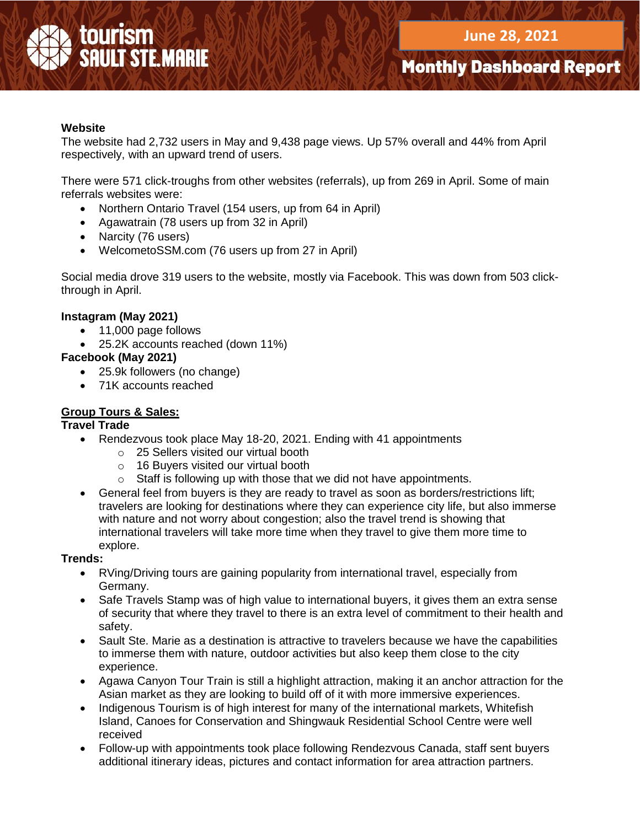

# **Website**

The website had 2,732 users in May and 9,438 page views. Up 57% overall and 44% from April respectively, with an upward trend of users.

There were 571 click-troughs from other websites (referrals), up from 269 in April. Some of main referrals websites were:

- Northern Ontario Travel (154 users, up from 64 in April)
- Agawatrain (78 users up from 32 in April)
- Narcity (76 users)
- WelcometoSSM.com (76 users up from 27 in April)

Social media drove 319 users to the website, mostly via Facebook. This was down from 503 clickthrough in April.

### **Instagram (May 2021)**

- 11,000 page follows
- 25.2K accounts reached (down 11%)

# **Facebook (May 2021)**

- 25.9k followers (no change)
- 71K accounts reached

# **Group Tours & Sales:**

### **Travel Trade**

- Rendezvous took place May 18-20, 2021. Ending with 41 appointments
	- o 25 Sellers visited our virtual booth
	- o 16 Buyers visited our virtual booth
	- o Staff is following up with those that we did not have appointments.
- General feel from buyers is they are ready to travel as soon as borders/restrictions lift; travelers are looking for destinations where they can experience city life, but also immerse with nature and not worry about congestion; also the travel trend is showing that international travelers will take more time when they travel to give them more time to explore.

### **Trends:**

- RVing/Driving tours are gaining popularity from international travel, especially from Germany.
- Safe Travels Stamp was of high value to international buyers, it gives them an extra sense of security that where they travel to there is an extra level of commitment to their health and safety.
- Sault Ste. Marie as a destination is attractive to travelers because we have the capabilities to immerse them with nature, outdoor activities but also keep them close to the city experience.
- Agawa Canyon Tour Train is still a highlight attraction, making it an anchor attraction for the Asian market as they are looking to build off of it with more immersive experiences.
- Indigenous Tourism is of high interest for many of the international markets, Whitefish Island, Canoes for Conservation and Shingwauk Residential School Centre were well received
- Follow-up with appointments took place following Rendezvous Canada, staff sent buyers additional itinerary ideas, pictures and contact information for area attraction partners.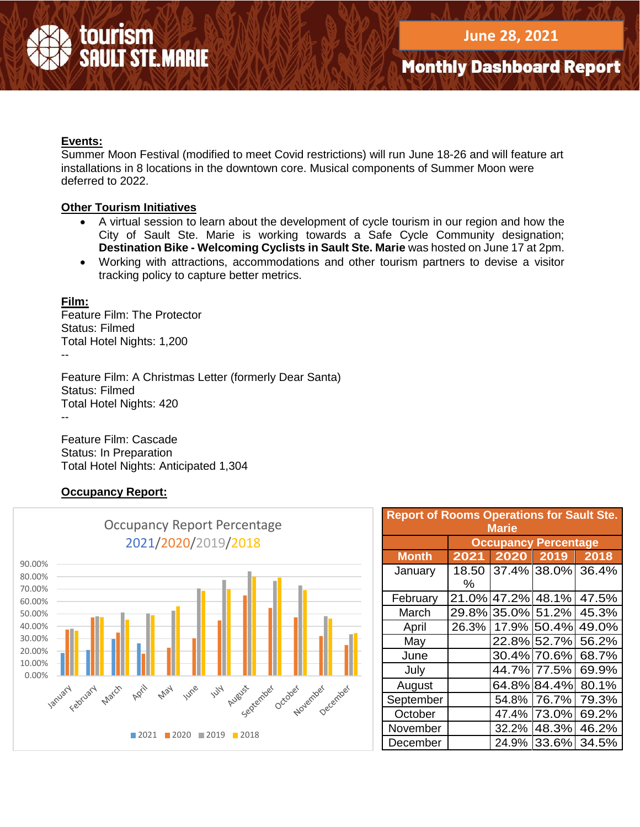# **Events:**

Summer Moon Festival (modified to meet Covid restrictions) will run June 18-26 and will feature art installations in 8 locations in the downtown core. Musical components of Summer Moon were deferred to 2022.

### **Other Tourism Initiatives**

- A virtual session to learn about the development of cycle tourism in our region and how the City of Sault Ste. Marie is working towards a Safe Cycle Community designation; **Destination Bike - Welcoming Cyclists in Sault Ste. Marie** was hosted on June 17 at 2pm.
- Working with attractions, accommodations and other tourism partners to devise a visitor tracking policy to capture better metrics.

### **Film:**

Feature Film: The Protector Status: Filmed Total Hotel Nights: 1,200 --

Feature Film: A Christmas Letter (formerly Dear Santa) Status: Filmed Total Hotel Nights: 420

--

Feature Film: Cascade Status: In Preparation Total Hotel Nights: Anticipated 1,304

### **Occupancy Report:**



| <b>Report of Rooms Operations for Sault Ste.</b><br><b>Marie</b> |                             |       |             |       |  |  |  |
|------------------------------------------------------------------|-----------------------------|-------|-------------|-------|--|--|--|
|                                                                  | <b>Occupancy Percentage</b> |       |             |       |  |  |  |
| <b>Month</b>                                                     | 2021                        | 2020  | 2019        | 2018  |  |  |  |
| January                                                          | 18.50<br>℅                  |       | 37.4% 38.0% | 36.4% |  |  |  |
| February                                                         | 21.0%                       | 47.2% | 48.1%       | 47.5% |  |  |  |
| March                                                            | 29.8%                       | 35.0% | 51.2%       | 45.3% |  |  |  |
| April                                                            | 26.3%                       | 17.9% | 50.4%       | 49.0% |  |  |  |
| May                                                              |                             |       | 22.8% 52.7% | 56.2% |  |  |  |
| June                                                             |                             | 30.4% | 70.6%       | 68.7% |  |  |  |
| July                                                             |                             | 44.7% | 77.5%       | 69.9% |  |  |  |
| August                                                           |                             |       | 64.8% 84.4% | 80.1% |  |  |  |
| September                                                        |                             | 54.8% | 76.7%       | 79.3% |  |  |  |
| October                                                          |                             | 47.4% | 73.0%       | 69.2% |  |  |  |
| November                                                         |                             | 32.2% | 48.3%       | 46.2% |  |  |  |
| December                                                         |                             | 24.9% | 33.6%       | 34.5% |  |  |  |